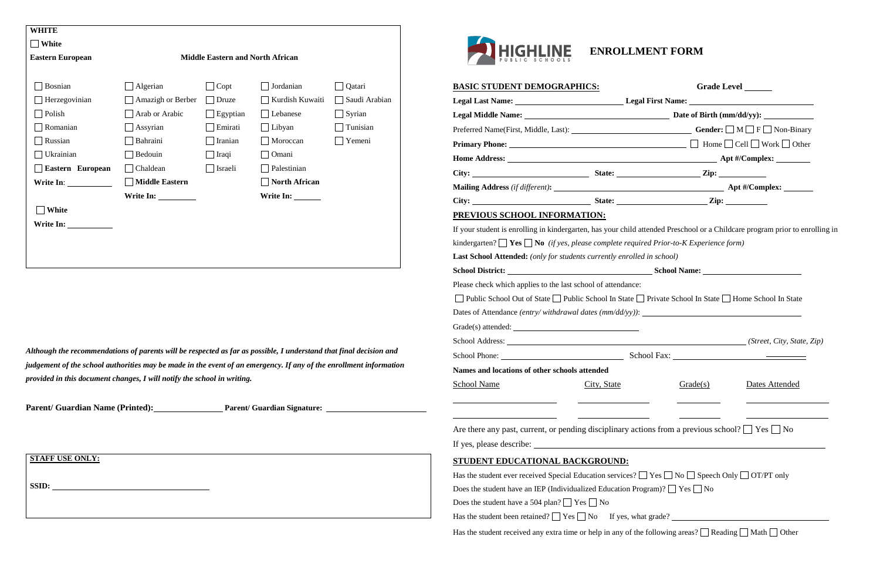*Although the recommendations of parents will be respected as far as possible, I understand that final decision and judgement of the school authorities may be made in the event of an emergency. If any of the enrollment information provided in this document changes, I will notify the school in writing.*

Parent/ Guardian Name (Printed): Parent/ Guardian Signature: 2000 Marchian Signature: 2000 Marchian Signature: 2000



| <b>BASIC STUDENT DEMOGRAPHICS:</b>                                                                                          |             |          | Grade Level _______ |
|-----------------------------------------------------------------------------------------------------------------------------|-------------|----------|---------------------|
| Legal Last Name: ___________________________________Legal First Name: ______________________________                        |             |          |                     |
|                                                                                                                             |             |          |                     |
|                                                                                                                             |             |          |                     |
|                                                                                                                             |             |          |                     |
|                                                                                                                             |             |          |                     |
|                                                                                                                             |             |          |                     |
|                                                                                                                             |             |          |                     |
|                                                                                                                             |             |          |                     |
| PREVIOUS SCHOOL INFORMATION:                                                                                                |             |          |                     |
| If your student is enrolling in kindergarten, has your child attended Preschool or a Childcare program prior to enrolling i |             |          |                     |
| kindergarten? $\Box$ Yes $\Box$ No (if yes, please complete required Prior-to-K Experience form)                            |             |          |                     |
| Last School Attended: (only for students currently enrolled in school)                                                      |             |          |                     |
|                                                                                                                             |             |          |                     |
| Please check which applies to the last school of attendance:                                                                |             |          |                     |
| □ Public School Out of State □ Public School In State □ Private School In State □ Home School In State                      |             |          |                     |
| Dates of Attendance <i>(entry/withdrawal dates (mm/dd/yy)</i> ): $\qquad \qquad$                                            |             |          |                     |
|                                                                                                                             |             |          |                     |
|                                                                                                                             |             |          |                     |
|                                                                                                                             |             |          |                     |
| Names and locations of other schools attended                                                                               |             |          |                     |
| <b>School Name</b>                                                                                                          | City, State | Grade(s) | Dates Attended      |
|                                                                                                                             |             |          |                     |
|                                                                                                                             |             |          |                     |
| Are there any past, current, or pending disciplinary actions from a previous school? $\Box$ Yes $\Box$ No                   |             |          |                     |
|                                                                                                                             |             |          |                     |
| STUDENT EDUCATIONAL BACKGROUND:                                                                                             |             |          |                     |
| Has the student ever received Special Education services? $\Box$ Yes $\Box$ No $\Box$ Speech Only $\Box$ OT/PT only         |             |          |                     |
|                                                                                                                             |             |          |                     |
| Does the student have an IEP (Individualized Education Program)? $\Box$ Yes $\Box$ No                                       |             |          |                     |
| Does the student have a 504 plan? $\Box$ Yes $\Box$ No                                                                      |             |          |                     |
| Has the student been retained? $\Box$ Yes $\Box$ No If yes, what grade? $\Box$                                              |             |          |                     |
| Has the student received any extra time or help in any of the following areas? $\Box$ Reading $\Box$ Math $\Box$ Other      |             |          |                     |
|                                                                                                                             |             |          |                     |

| <b>BASIC STUDENT DEMOGRAPHICS:</b>                                                                                                                                                                                               |             | Grade Level |                |  |  |
|----------------------------------------------------------------------------------------------------------------------------------------------------------------------------------------------------------------------------------|-------------|-------------|----------------|--|--|
|                                                                                                                                                                                                                                  |             |             |                |  |  |
|                                                                                                                                                                                                                                  |             |             |                |  |  |
| Preferred Name(First, Middle, Last): $\qquad \qquad$ Gender: $\Box M \Box F \Box$ Non-Binary                                                                                                                                     |             |             |                |  |  |
|                                                                                                                                                                                                                                  |             |             |                |  |  |
|                                                                                                                                                                                                                                  |             |             |                |  |  |
|                                                                                                                                                                                                                                  |             |             |                |  |  |
|                                                                                                                                                                                                                                  |             |             |                |  |  |
|                                                                                                                                                                                                                                  |             |             |                |  |  |
| PREVIOUS SCHOOL INFORMATION:                                                                                                                                                                                                     |             |             |                |  |  |
| If your student is enrolling in kindergarten, has your child attended Preschool or a Childcare program prior to enrolling in<br>kindergarten? $\Box$ Yes $\Box$ No (if yes, please complete required Prior-to-K Experience form) |             |             |                |  |  |
| <b>Last School Attended:</b> (only for students currently enrolled in school)                                                                                                                                                    |             |             |                |  |  |
|                                                                                                                                                                                                                                  |             |             |                |  |  |
| Please check which applies to the last school of attendance:                                                                                                                                                                     |             |             |                |  |  |
| □ Public School Out of State □ Public School In State □ Private School In State □ Home School In State                                                                                                                           |             |             |                |  |  |
| Dates of Attendance <i>(entry/withdrawal dates (mm/dd/yy))</i> : $\frac{1}{2}$                                                                                                                                                   |             |             |                |  |  |
|                                                                                                                                                                                                                                  |             |             |                |  |  |
|                                                                                                                                                                                                                                  |             |             |                |  |  |
|                                                                                                                                                                                                                                  |             |             |                |  |  |
| Names and locations of other schools attended                                                                                                                                                                                    |             |             |                |  |  |
| <b>School Name</b>                                                                                                                                                                                                               | City, State | Grade(s)    | Dates Attended |  |  |
| Are there any past, current, or pending disciplinary actions from a previous school? $\Box$ Yes $\Box$ No                                                                                                                        |             |             |                |  |  |
|                                                                                                                                                                                                                                  |             |             |                |  |  |
| STUDENT EDUCATIONAL BACKGROUND:                                                                                                                                                                                                  |             |             |                |  |  |
| Has the student ever received Special Education services? $\Box$ Yes $\Box$ No $\Box$ Speech Only $\Box$ OT/PT only                                                                                                              |             |             |                |  |  |
| Does the student have an IEP (Individualized Education Program)? $\Box$ Yes $\Box$ No                                                                                                                                            |             |             |                |  |  |
| Does the student have a 504 plan? $\Box$ Yes $\Box$ No                                                                                                                                                                           |             |             |                |  |  |
| Has the student been retained? $\Box$ Yes $\Box$ No If yes, what grade? $\Box$                                                                                                                                                   |             |             |                |  |  |
| Has the student received any extra time or help in any of the following areas? $\Box$ Reading $\Box$ Math $\Box$ Other                                                                                                           |             |             |                |  |  |

| <b>WHITE</b>            |                       |                                         |                      |               |
|-------------------------|-----------------------|-----------------------------------------|----------------------|---------------|
| White                   |                       |                                         |                      |               |
| <b>Eastern European</b> |                       | <b>Middle Eastern and North African</b> |                      |               |
|                         |                       |                                         |                      |               |
| Bosnian                 | Algerian              | Copt                                    | Jordanian            | Qatari        |
| Herzegovinian           | Amazigh or Berber     | Druze                                   | Kurdish Kuwaiti      | Saudi Arabian |
| Polish                  | Arab or Arabic        | Egyptian                                | Lebanese             | Syrian        |
| Romanian                | Assyrian              | Emirati                                 | $\Box$ Libyan        | Tunisian      |
| Russian                 | Bahraini              | Iranian                                 | Moroccan             | Yemeni        |
| Ukrainian               | Bedouin               | Iraqi                                   | Omani                |               |
| Eastern European        | Chaldean              | Israeli                                 | Palestinian          |               |
|                         | <b>Middle Eastern</b> |                                         | <b>North African</b> |               |
|                         |                       |                                         | Write In:            |               |
| White                   |                       |                                         |                      |               |
| Write In:               |                       |                                         |                      |               |
|                         |                       |                                         |                      |               |
|                         |                       |                                         |                      |               |

**STAFF USE ONLY:**

**SSID:**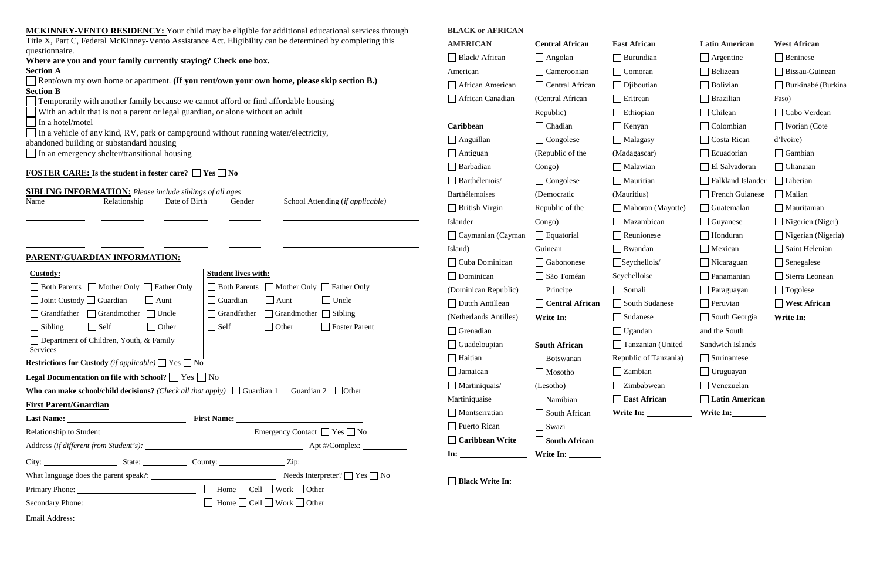| <b>MCKINNEY-VENTO RESIDENCY:</b> Your child may be eligible for additional educational services through                          | <b>BLACK or AFRICAN</b>  |                        |                     |
|----------------------------------------------------------------------------------------------------------------------------------|--------------------------|------------------------|---------------------|
| Title X, Part C, Federal McKinney-Vento Assistance Act. Eligibility can be determined by completing this<br>questionnaire.       | <b>AMERICAN</b>          | <b>Central African</b> | <b>East African</b> |
| Where are you and your family currently staying? Check one box.                                                                  | $\Box$ Black/African     | $\Box$ Angolan         | $\Box$ Burundian    |
| <b>Section A</b>                                                                                                                 | American                 | $\Box$ Cameroonian     | $\Box$ Comoran      |
| Rent/own my own home or apartment. (If you rent/own your own home, please skip section B.)                                       | $\Box$ African American  | $\Box$ Central African | $\Box$ Djiboutian   |
| <b>Section B</b><br>Temporarily with another family because we cannot afford or find affordable housing                          | $\Box$ African Canadian  | (Central African       | $\Box$ Eritrean     |
| With an adult that is not a parent or legal guardian, or alone without an adult                                                  |                          | Republic)              | $\Box$ Ethiopian    |
| In a hotel/motel                                                                                                                 | Caribbean                | $\Box$ Chadian         | $\Box$ Kenyan       |
| In a vehicle of any kind, RV, park or campground without running water/electricity,<br>abandoned building or substandard housing | $\Box$ Anguillan         | $\Box$ Congolese       | Malagasy            |
| In an emergency shelter/transitional housing                                                                                     | $\Box$ Antiguan          | (Republic of the       | (Madagascar)        |
|                                                                                                                                  | $\Box$ Barbadian         | Congo)                 | $\Box$ Malawian     |
| <b>FOSTER CARE:</b> Is the student in foster care? $\Box$ Yes $\Box$ No                                                          | $\Box$ Barthélemois/     | $\Box$ Congolese       | $\Box$ Mauritian    |
| <b>SIBLING INFORMATION:</b> Please include siblings of all ages                                                                  | Barthélemoises           | (Democratic            | (Mauritius)         |
| Name<br>Relationship<br>Date of Birth<br>School Attending (if applicable)<br>Gender                                              | $\Box$ British Virgin    | Republic of the        | $\Box$ Mahoran (Ma  |
|                                                                                                                                  | Islander                 | Congo)                 | $\Box$ Mazambican   |
|                                                                                                                                  | $\Box$ Caymanian (Cayman | $\Box$ Equatorial      | $\Box$ Reunionese   |
|                                                                                                                                  | Island)                  | Guinean                | $\Box$ Rwandan      |
| PARENT/GUARDIAN INFORMATION:                                                                                                     | $\Box$ Cuba Dominican    | Gabononese             | $S$ eychellois/     |
| <b>Student lives with:</b><br><b>Custody:</b>                                                                                    | $\Box$ Dominican         | São Toméan             | Seychelloise        |
| □ Both Parents □ Mother Only □ Father Only<br>□ Both Parents □ Mother Only □ Father Only                                         | (Dominican Republic)     | $\Box$ Principe        | $\Box$ Somali       |
| $\Box$ Uncle<br>$\Box$ Joint Custody $\Box$ Guardian<br>$\Box$ Guardian<br>$\Box$ Aunt<br>$\Box$ Aunt                            | $\Box$ Dutch Antillean   | $\Box$ Central African | South Sudane        |
| $\Box$ Grandmother $\Box$ Sibling<br>$\Box$ Grandfather<br>$\Box$ Grandfather<br>Grandmother Uncle                               | (Netherlands Antilles)   | Write In:              | Sudanese            |
| $\Box$ Self<br>$\Box$ Sibling<br>$\Box$ Self<br>$\bigcap$ Other<br>$\Box$ Other<br>$\Box$ Foster Parent                          | $\Box$ Grenadian         |                        | $\Box$ Ugandan      |
| Department of Children, Youth, & Family<br>Services                                                                              | $\Box$ Guadeloupian      | <b>South African</b>   | $\Box$ Tanzanian (U |
| <b>Restrictions for Custody</b> (if applicable) $\Box$ Yes $\Box$ No                                                             | $\Box$ Haitian           | $\Box$ Botswanan       | Republic of Tanz    |
| <b>Legal Documentation on file with School?</b> $\Box$ Yes $\Box$ No                                                             | $\Box$ Jamaican          | $\Box$ Mosotho         | $\Box$ Zambian      |
| <b>Who can make school/child decisions?</b> ( <i>Check all that apply</i> ) $\Box$ Guardian 1 $\Box$ Guardian 2 $\Box$ Other     | $\Box$ Martiniquais/     | (Lesotho)              | $\Box$ Zimbabwean   |
| <b>First Parent/Guardian</b>                                                                                                     | Martiniquaise            | $\Box$ Namibian        | $\Box$ East African |
|                                                                                                                                  | $\Box$ Montserratian     | $\Box$ South African   | Write In:           |
|                                                                                                                                  | $\Box$ Puerto Rican      | $\Box$ Swazi           |                     |
| Relationship to Student  ■ No Emergency Contact ■ Yes ■ No                                                                       | $\Box$ Caribbean Write   | $\Box$ South African   |                     |
|                                                                                                                                  |                          |                        |                     |
|                                                                                                                                  |                          |                        |                     |
|                                                                                                                                  | $\Box$ Black Write In:   |                        |                     |
|                                                                                                                                  |                          |                        |                     |
| Secondary Phone: <u>Cell</u> D Home Cell Nork Other                                                                              |                          |                        |                     |
|                                                                                                                                  |                          |                        |                     |

| <b>East African</b>   | <b>Latin American</b>    | <b>West African</b> |
|-----------------------|--------------------------|---------------------|
| Burundian             | Argentine                | Beninese            |
| Comoran               | Belizean                 | Bissau-Guinean      |
| Djiboutian            | Bolivian                 | Burkinabé (Burkina  |
| Eritrean              | <b>Brazilian</b>         | Faso)               |
| Ethiopian             | Chilean                  | Cabo Verdean        |
| Kenyan                | Colombian                | Ivorian (Cote       |
| $\Box$ Malagasy       | Costa Rican              | d'Ivoire)           |
| (Madagascar)          | Ecuadorian               | Gambian             |
| Malawian              | El Salvadoran            | Ghanaian            |
| $\Box$ Mauritian      | <b>Falkland Islander</b> | Liberian            |
| (Mauritius)           | <b>French Guianese</b>   | Malian              |
| Mahoran (Mayotte)     | Guatemalan               | Mauritanian         |
| Mazambican            | Guyanese                 | Nigerien (Niger)    |
| Reunionese            | Honduran                 | Nigerian (Nigeria)  |
| Rwandan               | Mexican                  | Saint Helenian      |
| Seychellois/          | Nicaraguan               | Senegalese          |
| Seychelloise          | Panamanian               | Sierra Leonean      |
| Somali                | Paraguayan               | Togolese            |
| <b>South Sudanese</b> | Peruvian                 | <b>West African</b> |
| Sudanese              | South Georgia            | Write In:           |
| Ugandan               | and the South            |                     |
| Tanzanian (United     | <b>Sandwich Islands</b>  |                     |
| Republic of Tanzania) | $\Box$ Surinamese        |                     |
| $\Box$ Zambian        | $\Box$ Uruguayan         |                     |
| $\Box$ Zimbabwean     | $\Box$ Venezuelan        |                     |
| $\Box$ East African   | $\Box$ Latin American    |                     |
|                       | Write In:                |                     |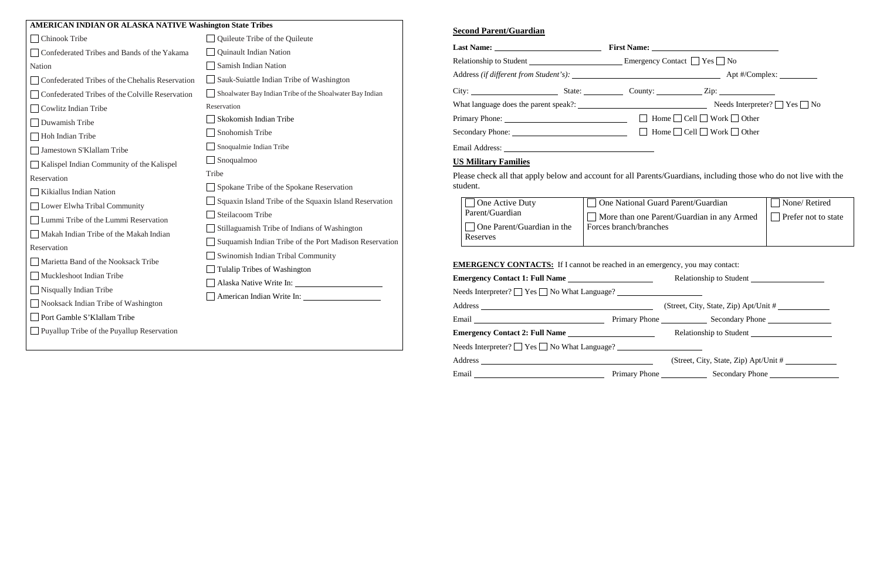# **Second Parent/Guardian**

| City: City: City: County: County: County: City:                                                                                                                                                                                |                                                                |                                                                   |                                            |  |  |
|--------------------------------------------------------------------------------------------------------------------------------------------------------------------------------------------------------------------------------|----------------------------------------------------------------|-------------------------------------------------------------------|--------------------------------------------|--|--|
|                                                                                                                                                                                                                                |                                                                |                                                                   |                                            |  |  |
|                                                                                                                                                                                                                                |                                                                |                                                                   |                                            |  |  |
|                                                                                                                                                                                                                                |                                                                |                                                                   |                                            |  |  |
|                                                                                                                                                                                                                                |                                                                |                                                                   |                                            |  |  |
| <b>US Military Families</b>                                                                                                                                                                                                    |                                                                |                                                                   |                                            |  |  |
| Please check all that apply below and account for all Parents/Guardians, including those who do not live with the<br>student.                                                                                                  |                                                                |                                                                   |                                            |  |  |
| One Active Duty<br>Parent/Guardian<br>One Parent/Guardian in the<br>Reserves                                                                                                                                                   | □ One National Guard Parent/Guardian<br>Forces branch/branches | More than one Parent/Guardian in any Armed                        | None/Retired<br><b>Prefer not to state</b> |  |  |
| <b>EMERGENCY CONTACTS:</b> If I cannot be reached in an emergency, you may contact:                                                                                                                                            |                                                                |                                                                   |                                            |  |  |
|                                                                                                                                                                                                                                |                                                                |                                                                   |                                            |  |  |
| Needs Interpreter? $\Box$ Yes $\Box$ No What Language? $\Box$                                                                                                                                                                  |                                                                |                                                                   |                                            |  |  |
|                                                                                                                                                                                                                                |                                                                |                                                                   |                                            |  |  |
| Email Communication of Primary Phone Communication Secondary Phone Communication of Primary Phone Communication Secondary Phone Communication of Primary Phone Communication of Secondary Phone Communication of Primary Phone |                                                                |                                                                   |                                            |  |  |
|                                                                                                                                                                                                                                |                                                                | Relationship to Student <u>Student</u> <b>Example 18 and 2013</b> |                                            |  |  |
| Needs Interpreter? $\Box$ Yes $\Box$ No What Language? ______________________________                                                                                                                                          |                                                                |                                                                   |                                            |  |  |
|                                                                                                                                                                                                                                |                                                                | (Street, City, State, Zip) Apt/Unit #                             |                                            |  |  |
| Email Communication of Primary Phone Communication of Secondary Phone Communication of Primary Phone Communication of Secondary Phone Communication of Primary Phone Communication of Secondary Phone Communication of Seconda |                                                                |                                                                   |                                            |  |  |

| I cannot be reached in an emergency, you may contact: |                                          |  |  |
|-------------------------------------------------------|------------------------------------------|--|--|
| $e \overline{$                                        |                                          |  |  |
|                                                       |                                          |  |  |
|                                                       | (Street, City, State, Zip) Apt/Unit #    |  |  |
|                                                       | Primary Phone Secondary Phone            |  |  |
| $e \sim$                                              |                                          |  |  |
|                                                       |                                          |  |  |
|                                                       | (Street, City, State, Zip) Apt/Unit $\#$ |  |  |
|                                                       | Primary Phone Secondary Phone            |  |  |

| AMERICAN INDIAN OR ALASKA NATIVE Washington State Tribes                  |                                                          |  |  |  |
|---------------------------------------------------------------------------|----------------------------------------------------------|--|--|--|
| Chinook Tribe                                                             | Quileute Tribe of the Quileute                           |  |  |  |
| Confederated Tribes and Bands of the Yakama                               | Quinault Indian Nation                                   |  |  |  |
| Nation                                                                    | Samish Indian Nation                                     |  |  |  |
| Confederated Tribes of the Chehalis Reservation                           | Sauk-Suiattle Indian Tribe of Washington                 |  |  |  |
| Confederated Tribes of the Colville Reservation                           | Shoalwater Bay Indian Tribe of the Shoalwater Bay Indian |  |  |  |
| Cowlitz Indian Tribe                                                      | Reservation                                              |  |  |  |
| Duwamish Tribe                                                            | Skokomish Indian Tribe                                   |  |  |  |
| Hoh Indian Tribe                                                          | Snohomish Tribe                                          |  |  |  |
| Jamestown S'Klallam Tribe                                                 | Snoqualmie Indian Tribe                                  |  |  |  |
| Kalispel Indian Community of the Kalispel                                 | Snoqualmoo                                               |  |  |  |
| Reservation                                                               | Tribe                                                    |  |  |  |
| Kikiallus Indian Nation                                                   | Spokane Tribe of the Spokane Reservation                 |  |  |  |
| Lower Elwha Tribal Community                                              | Squaxin Island Tribe of the Squaxin Island Reservation   |  |  |  |
| Lummi Tribe of the Lummi Reservation                                      | Steilacoom Tribe                                         |  |  |  |
| Makah Indian Tribe of the Makah Indian                                    | Stillaguamish Tribe of Indians of Washington             |  |  |  |
| Reservation                                                               | Suquamish Indian Tribe of the Port Madison Reservation   |  |  |  |
| Marietta Band of the Nooksack Tribe                                       | Swinomish Indian Tribal Community                        |  |  |  |
| Muckleshoot Indian Tribe                                                  | Tulalip Tribes of Washington                             |  |  |  |
| Nisqually Indian Tribe                                                    |                                                          |  |  |  |
| Nooksack Indian Tribe of Washington                                       |                                                          |  |  |  |
|                                                                           |                                                          |  |  |  |
|                                                                           |                                                          |  |  |  |
| Port Gamble S'Klallam Tribe<br>Puyallup Tribe of the Puyallup Reservation |                                                          |  |  |  |